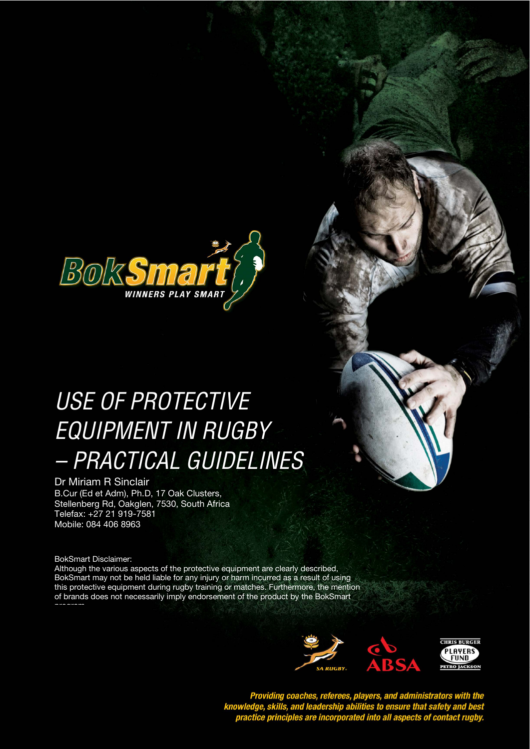

# USE OF PROTECTIVE EQUIPMENT IN RUGBY – PRACTICAL GUIDELINES

Dr Miriam R Sinclair B.Cur (Ed et Adm), Ph.D, 17 Oak Clusters, Stellenberg Rd, Oakglen, 7530, South Africa Telefax: +27 21 919-7581 Mobile: 084 406 8963

BokSmart Disclaimer:

Although the various aspects of the protective equipment are clearly described, BokSmart may not be held liable for any injury or harm incurred as a result of using this protective equipment during rugby training or matches. Furthermore, the mention of brands does not necessarily imply endorsement of the product by the BokSmart



Providing coaches, referees, players, and administrators with the<br>knowledge, skills, and leadership abilities to ensure that safety and best<br>practice principles are incorporated into all aspects of contact rugby.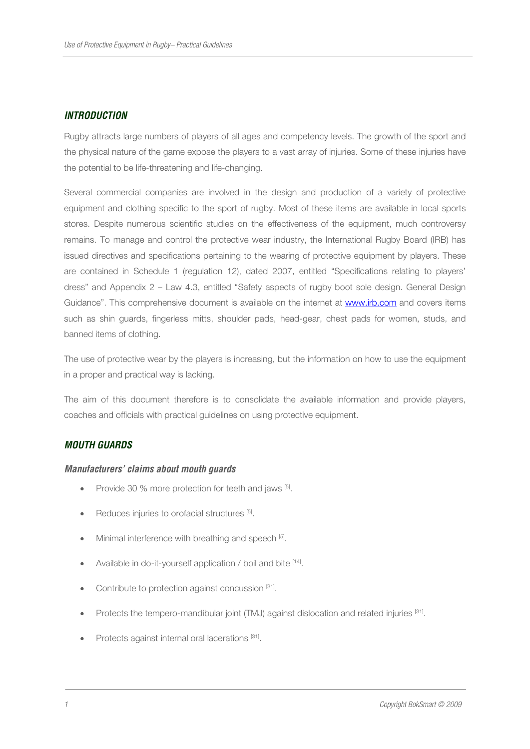## **INTRODUCTION**

Rugby attracts large numbers of players of all ages and competency levels. The growth of the sport and the physical nature of the game expose the players to a vast array of injuries. Some of these injuries have the potential to be life-threatening and life-changing.

Several commercial companies are involved in the design and production of a variety of protective equipment and clothing specific to the sport of rugby. Most of these items are available in local sports stores. Despite numerous scientific studies on the effectiveness of the equipment, much controversy remains. To manage and control the protective wear industry, the International Rugby Board (IRB) has issued directives and specifications pertaining to the wearing of protective equipment by players. These are contained in Schedule 1 (regulation 12), dated 2007, entitled "Specifications relating to players' dress" and Appendix 2 – Law 4.3, entitled "Safety aspects of rugby boot sole design. General Design Guidance". This comprehensive document is available on the internet at www.irb.com and covers items such as shin guards, fingerless mitts, shoulder pads, head-gear, chest pads for women, studs, and banned items of clothing.

The use of protective wear by the players is increasing, but the information on how to use the equipment in a proper and practical way is lacking.

The aim of this document therefore is to consolidate the available information and provide players, coaches and officials with practical guidelines on using protective equipment.

## **MOUTH GUARDS**

#### **Manufacturers' claims about mouth guards**

- Provide 30 % more protection for teeth and jaws [5].
- Reduces injuries to orofacial structures [5].
- Minimal interference with breathing and speech [5].
- Available in do-it-yourself application / boil and bite [14].
- Contribute to protection against concussion [31].
- Protects the tempero-mandibular joint (TMJ) against dislocation and related injuries [31].
- Protects against internal oral lacerations [31].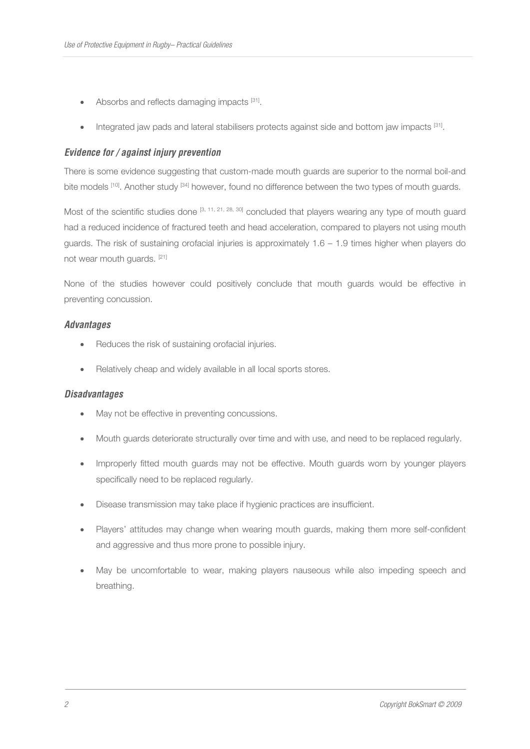- Absorbs and reflects damaging impacts [31].
- Integrated jaw pads and lateral stabilisers protects against side and bottom jaw impacts [31].

## **Evidence for / against injury prevention**

There is some evidence suggesting that custom-made mouth guards are superior to the normal boil-and bite models [10]. Another study [34] however, found no difference between the two types of mouth guards.

Most of the scientific studies done [3, 11, 21, 28, 30] concluded that players wearing any type of mouth guard had a reduced incidence of fractured teeth and head acceleration, compared to players not using mouth guards. The risk of sustaining orofacial injuries is approximately 1.6 – 1.9 times higher when players do not wear mouth guards. [21]

None of the studies however could positively conclude that mouth guards would be effective in preventing concussion.

#### **Advantages**

- Reduces the risk of sustaining orofacial injuries.
- Relatively cheap and widely available in all local sports stores.

#### **Disadvantages**

- May not be effective in preventing concussions.
- Mouth guards deteriorate structurally over time and with use, and need to be replaced regularly.
- Improperly fitted mouth guards may not be effective. Mouth guards worn by younger players specifically need to be replaced regularly.
- Disease transmission may take place if hygienic practices are insufficient.
- Players' attitudes may change when wearing mouth guards, making them more self-confident and aggressive and thus more prone to possible injury.
- May be uncomfortable to wear, making players nauseous while also impeding speech and breathing.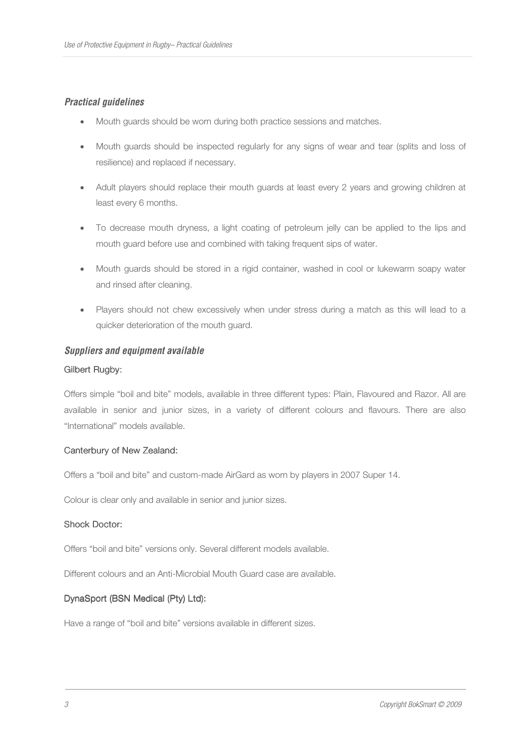# **Practical guidelines**

- Mouth guards should be worn during both practice sessions and matches.
- Mouth guards should be inspected regularly for any signs of wear and tear (splits and loss of resilience) and replaced if necessary.
- Adult players should replace their mouth guards at least every 2 years and growing children at least every 6 months.
- To decrease mouth dryness, a light coating of petroleum jelly can be applied to the lips and mouth guard before use and combined with taking frequent sips of water.
- Mouth guards should be stored in a rigid container, washed in cool or lukewarm soapy water and rinsed after cleaning.
- Players should not chew excessively when under stress during a match as this will lead to a quicker deterioration of the mouth guard.

#### **Suppliers and equipment available**

#### Gilbert Rugby:

Offers simple "boil and bite" models, available in three different types: Plain, Flavoured and Razor. All are available in senior and junior sizes, in a variety of different colours and flavours. There are also "International" models available.

#### Canterbury of New Zealand:

Offers a "boil and bite" and custom-made AirGard as worn by players in 2007 Super 14.

Colour is clear only and available in senior and junior sizes.

#### Shock Doctor:

Offers "boil and bite" versions only. Several different models available.

Different colours and an Anti-Microbial Mouth Guard case are available.

#### DynaSport (BSN Medical (Pty) Ltd):

Have a range of "boil and bite" versions available in different sizes.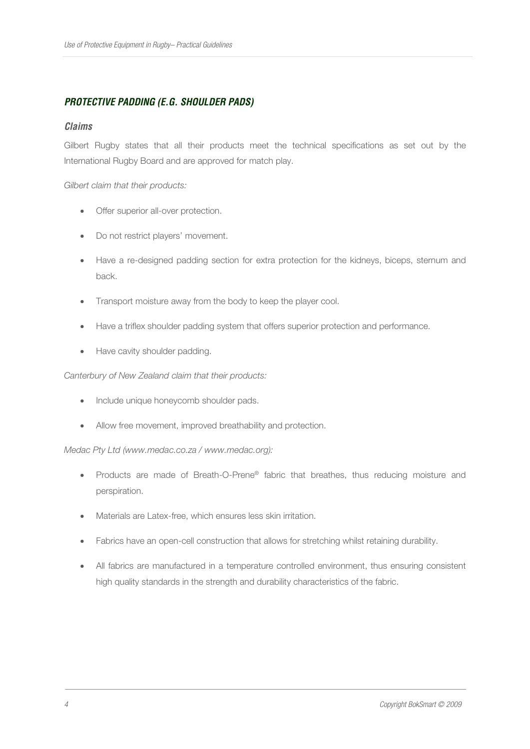# **PROTECTIVE PADDING (E.G. SHOULDER PADS)**

#### **Claims**

Gilbert Rugby states that all their products meet the technical specifications as set out by the International Rugby Board and are approved for match play.

#### *Gilbert claim that their products:*

- Offer superior all-over protection.
- Do not restrict players' movement.
- Have a re-designed padding section for extra protection for the kidneys, biceps, sternum and back.
- Transport moisture away from the body to keep the player cool.
- Have a triflex shoulder padding system that offers superior protection and performance.
- Have cavity shoulder padding.

#### *Canterbury of New Zealand claim that their products:*

- Include unique honeycomb shoulder pads.
- Allow free movement, improved breathability and protection.

#### *Medac Pty Ltd (www.medac.co.za / www.medac.org):*

- Products are made of Breath-O-Prene® fabric that breathes, thus reducing moisture and perspiration.
- Materials are Latex-free, which ensures less skin irritation.
- Fabrics have an open-cell construction that allows for stretching whilst retaining durability.
- All fabrics are manufactured in a temperature controlled environment, thus ensuring consistent high quality standards in the strength and durability characteristics of the fabric.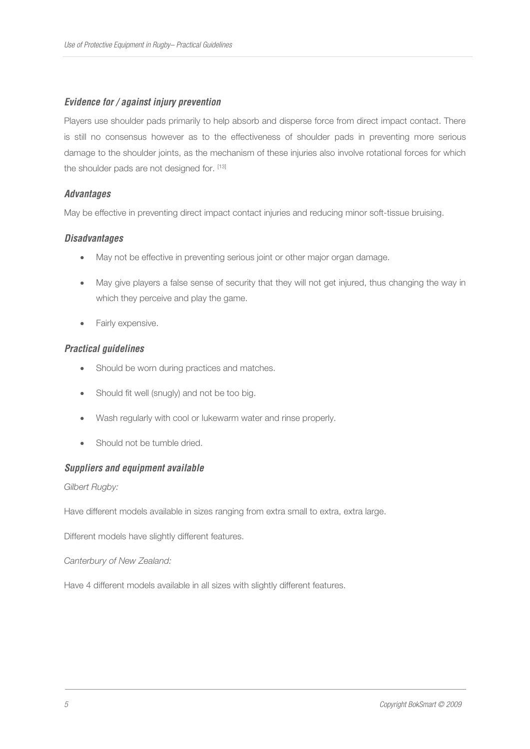# **Evidence for / against injury prevention**

Players use shoulder pads primarily to help absorb and disperse force from direct impact contact. There is still no consensus however as to the effectiveness of shoulder pads in preventing more serious damage to the shoulder joints, as the mechanism of these injuries also involve rotational forces for which the shoulder pads are not designed for. [13]

## **Advantages**

May be effective in preventing direct impact contact injuries and reducing minor soft-tissue bruising.

## **Disadvantages**

- May not be effective in preventing serious joint or other major organ damage.
- May give players a false sense of security that they will not get injured, thus changing the way in which they perceive and play the game.
- Fairly expensive.

## **Practical guidelines**

- Should be worn during practices and matches.
- Should fit well (snugly) and not be too big.
- Wash regularly with cool or lukewarm water and rinse properly.
- Should not be tumble dried.

## **Suppliers and equipment available**

*Gilbert Rugby:* 

Have different models available in sizes ranging from extra small to extra, extra large.

Different models have slightly different features.

#### *Canterbury of New Zealand:*

Have 4 different models available in all sizes with slightly different features.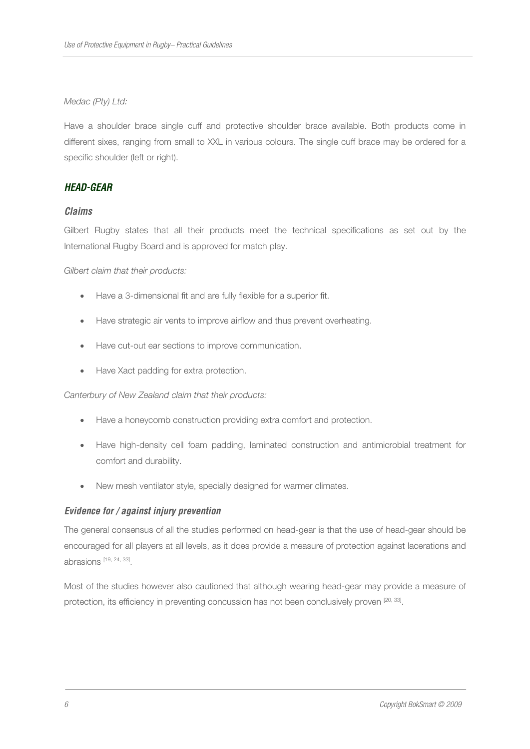#### *Medac (Pty) Ltd:*

Have a shoulder brace single cuff and protective shoulder brace available. Both products come in different sixes, ranging from small to XXL in various colours. The single cuff brace may be ordered for a specific shoulder (left or right).

## **HEAD-GEAR**

#### **Claims**

Gilbert Rugby states that all their products meet the technical specifications as set out by the International Rugby Board and is approved for match play.

*Gilbert claim that their products:* 

- Have a 3-dimensional fit and are fully flexible for a superior fit.
- Have strategic air vents to improve airflow and thus prevent overheating.
- Have cut-out ear sections to improve communication.
- Have Xact padding for extra protection.

#### *Canterbury of New Zealand claim that their products:*

- Have a honeycomb construction providing extra comfort and protection.
- Have high-density cell foam padding, laminated construction and antimicrobial treatment for comfort and durability.
- New mesh ventilator style, specially designed for warmer climates.

## **Evidence for / against injury prevention**

The general consensus of all the studies performed on head-gear is that the use of head-gear should be encouraged for all players at all levels, as it does provide a measure of protection against lacerations and abrasions [19, 24, 33] .

Most of the studies however also cautioned that although wearing head-gear may provide a measure of protection, its efficiency in preventing concussion has not been conclusively proven [20, 33].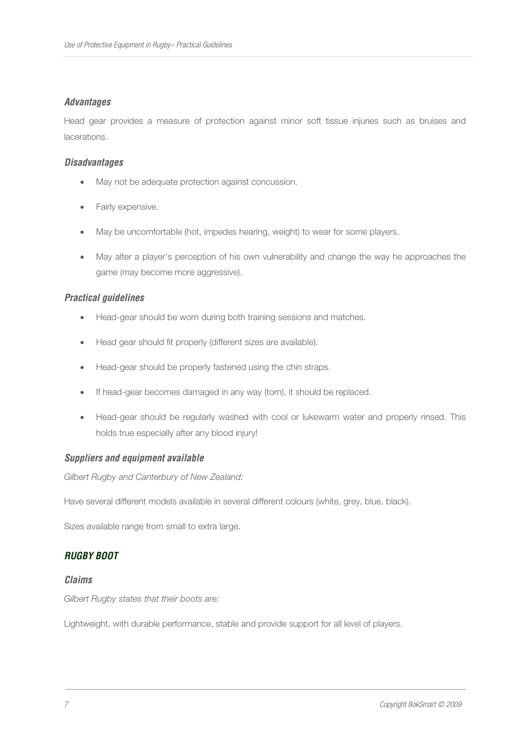# **Advantages**

Head gear provides a measure of protection against minor soft tissue injuries such as bruises and lacerations.

## **Disadvantages**

- May not be adequate protection against concussion.
- Fairly expensive.
- May be uncomfortable (hot, impedes hearing, weight) to wear for some players.
- May alter a player's perception of his own vulnerability and change the way he approaches the game (may become more aggressive).

## **Practical guidelines**

- Head-gear should be worn during both training sessions and matches.
- Head gear should fit properly (different sizes are available).
- Head-gear should be properly fastened using the chin straps.
- If head-gear becomes damaged in any way (torn), it should be replaced.
- Head-gear should be regularly washed with cool or lukewarm water and properly rinsed. This holds true especially after any blood injury!

## **Suppliers and equipment available**

*Gilbert Rugby and Canterbury of New Zealand:* 

Have several different models available in several different colours (white, grey, blue, black).

Sizes available range from small to extra large.

# **RUGBY BOOT**

#### **Claims**

*Gilbert Rugby states that their boots are:* 

Lightweight, with durable performance, stable and provide support for all level of players.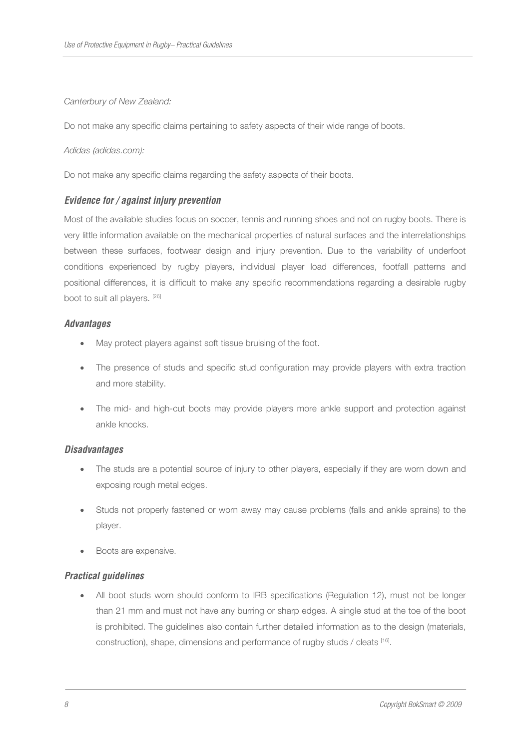#### *Canterbury of New Zealand:*

Do not make any specific claims pertaining to safety aspects of their wide range of boots.

#### *Adidas (adidas.com):*

Do not make any specific claims regarding the safety aspects of their boots.

## **Evidence for / against injury prevention**

Most of the available studies focus on soccer, tennis and running shoes and not on rugby boots. There is very little information available on the mechanical properties of natural surfaces and the interrelationships between these surfaces, footwear design and injury prevention. Due to the variability of underfoot conditions experienced by rugby players, individual player load differences, footfall patterns and positional differences, it is difficult to make any specific recommendations regarding a desirable rugby boot to suit all players. [26]

## **Advantages**

- May protect players against soft tissue bruising of the foot.
- The presence of studs and specific stud configuration may provide players with extra traction and more stability.
- The mid- and high-cut boots may provide players more ankle support and protection against ankle knocks.

## **Disadvantages**

- The studs are a potential source of injury to other players, especially if they are worn down and exposing rough metal edges.
- Studs not properly fastened or worn away may cause problems (falls and ankle sprains) to the player.
- Boots are expensive.

## **Practical guidelines**

• All boot studs worn should conform to IRB specifications (Regulation 12), must not be longer than 21 mm and must not have any burring or sharp edges. A single stud at the toe of the boot is prohibited. The guidelines also contain further detailed information as to the design (materials, construction), shape, dimensions and performance of rugby studs / cleats [16] .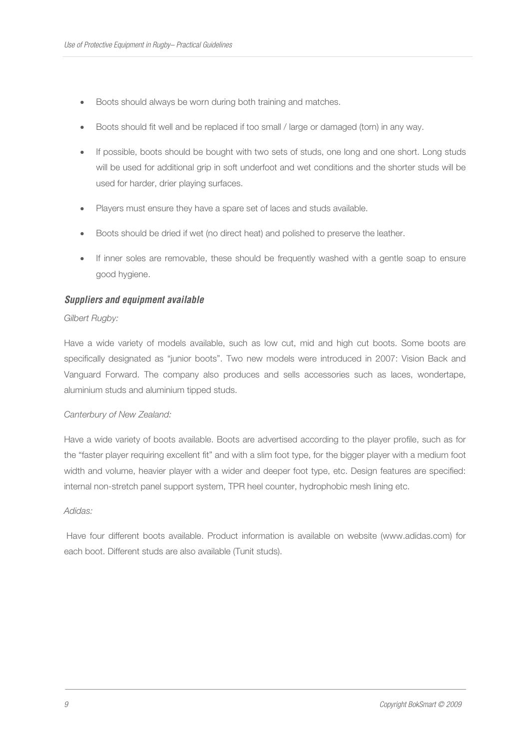- Boots should always be worn during both training and matches.
- Boots should fit well and be replaced if too small / large or damaged (torn) in any way.
- If possible, boots should be bought with two sets of studs, one long and one short. Long studs will be used for additional grip in soft underfoot and wet conditions and the shorter studs will be used for harder, drier playing surfaces.
- Players must ensure they have a spare set of laces and studs available.
- Boots should be dried if wet (no direct heat) and polished to preserve the leather.
- If inner soles are removable, these should be frequently washed with a gentle soap to ensure good hygiene.

#### **Suppliers and equipment available**

#### *Gilbert Rugby:*

Have a wide variety of models available, such as low cut, mid and high cut boots. Some boots are specifically designated as "junior boots". Two new models were introduced in 2007: Vision Back and Vanguard Forward. The company also produces and sells accessories such as laces, wondertape, aluminium studs and aluminium tipped studs.

#### *Canterbury of New Zealand:*

Have a wide variety of boots available. Boots are advertised according to the player profile, such as for the "faster player requiring excellent fit" and with a slim foot type, for the bigger player with a medium foot width and volume, heavier player with a wider and deeper foot type, etc. Design features are specified: internal non-stretch panel support system, TPR heel counter, hydrophobic mesh lining etc.

#### *Adidas:*

 Have four different boots available. Product information is available on website (www.adidas.com) for each boot. Different studs are also available (Tunit studs).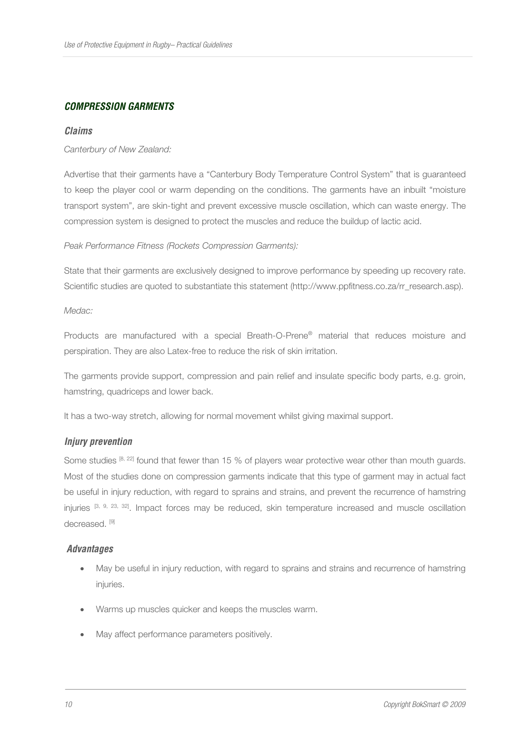# **COMPRESSION GARMENTS**

#### **Claims**

#### *Canterbury of New Zealand:*

Advertise that their garments have a "Canterbury Body Temperature Control System" that is guaranteed to keep the player cool or warm depending on the conditions. The garments have an inbuilt "moisture transport system", are skin-tight and prevent excessive muscle oscillation, which can waste energy. The compression system is designed to protect the muscles and reduce the buildup of lactic acid.

#### *Peak Performance Fitness (Rockets Compression Garments):*

State that their garments are exclusively designed to improve performance by speeding up recovery rate. Scientific studies are quoted to substantiate this statement (http://www.ppfitness.co.za/rr\_research.asp).

*Medac:* 

Products are manufactured with a special Breath-O-Prene® material that reduces moisture and perspiration. They are also Latex-free to reduce the risk of skin irritation.

The garments provide support, compression and pain relief and insulate specific body parts, e.g. groin, hamstring, quadriceps and lower back.

It has a two-way stretch, allowing for normal movement whilst giving maximal support.

## **Injury prevention**

Some studies [8, 22] found that fewer than 15 % of players wear protective wear other than mouth guards. Most of the studies done on compression garments indicate that this type of garment may in actual fact be useful in injury reduction, with regard to sprains and strains, and prevent the recurrence of hamstring injuries [3, 9, 23, 32]. Impact forces may be reduced, skin temperature increased and muscle oscillation decreased.<sup>[9]</sup>

#### **Advantages**

- May be useful in injury reduction, with regard to sprains and strains and recurrence of hamstring injuries.
- Warms up muscles quicker and keeps the muscles warm.
- May affect performance parameters positively.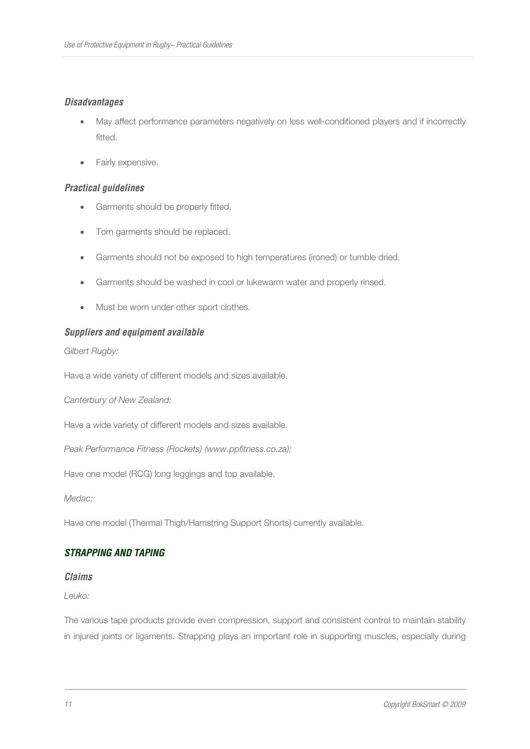# **Disadvantages**

- May affect performance parameters negatively on less well-conditioned players and if incorrectly fitted.
- Fairly expensive.

## **Practical guidelines**

- Garments should be properly fitted.
- Torn garments should be replaced.
- Garments should not be exposed to high temperatures (ironed) or tumble dried.
- Garments should be washed in cool or lukewarm water and properly rinsed.
- Must be worn under other sport clothes.

## **Suppliers and equipment available**

*Gilbert Rugby:* 

Have a wide variety of different models and sizes available.

*Canterbury of New Zealand:* 

Have a wide variety of different models and sizes available.

*Peak Performance Fitness (Rockets) (www.ppfitness.co.za):* 

Have one model (RCG) long leggings and top available.

*Medac:* 

Have one model (Thermal Thigh/Hamstring Support Shorts) currently available.

## **STRAPPING AND TAPING**

#### **Claims**

*Leuko:* 

The various tape products provide even compression, support and consistent control to maintain stability in injured joints or ligaments. Strapping plays an important role in supporting muscles, especially during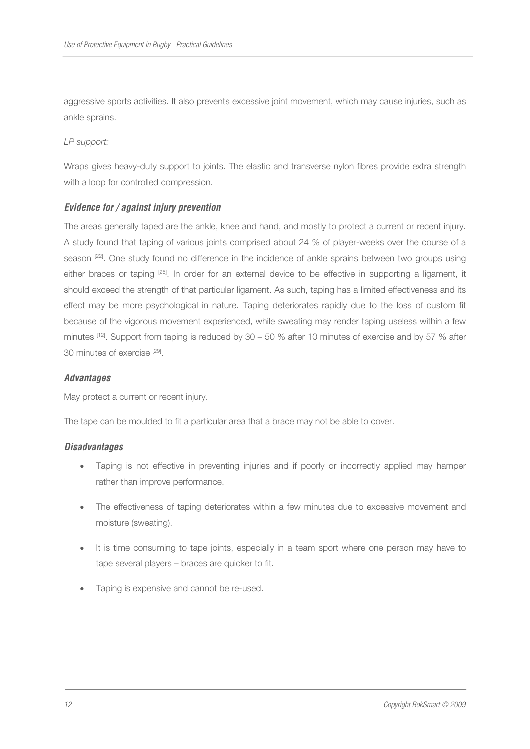aggressive sports activities. It also prevents excessive joint movement, which may cause injuries, such as ankle sprains.

#### *LP support:*

Wraps gives heavy-duty support to joints. The elastic and transverse nylon fibres provide extra strength with a loop for controlled compression.

# **Evidence for / against injury prevention**

The areas generally taped are the ankle, knee and hand, and mostly to protect a current or recent injury. A study found that taping of various joints comprised about 24 % of player-weeks over the course of a season [22]. One study found no difference in the incidence of ankle sprains between two groups using either braces or taping [25]. In order for an external device to be effective in supporting a ligament, it should exceed the strength of that particular ligament. As such, taping has a limited effectiveness and its effect may be more psychological in nature. Taping deteriorates rapidly due to the loss of custom fit because of the vigorous movement experienced, while sweating may render taping useless within a few minutes [12]. Support from taping is reduced by 30 – 50 % after 10 minutes of exercise and by 57 % after 30 minutes of exercise [29].

## **Advantages**

May protect a current or recent injury.

The tape can be moulded to fit a particular area that a brace may not be able to cover.

## **Disadvantages**

- Taping is not effective in preventing injuries and if poorly or incorrectly applied may hamper rather than improve performance.
- The effectiveness of taping deteriorates within a few minutes due to excessive movement and moisture (sweating).
- It is time consuming to tape joints, especially in a team sport where one person may have to tape several players – braces are quicker to fit.
- Taping is expensive and cannot be re-used.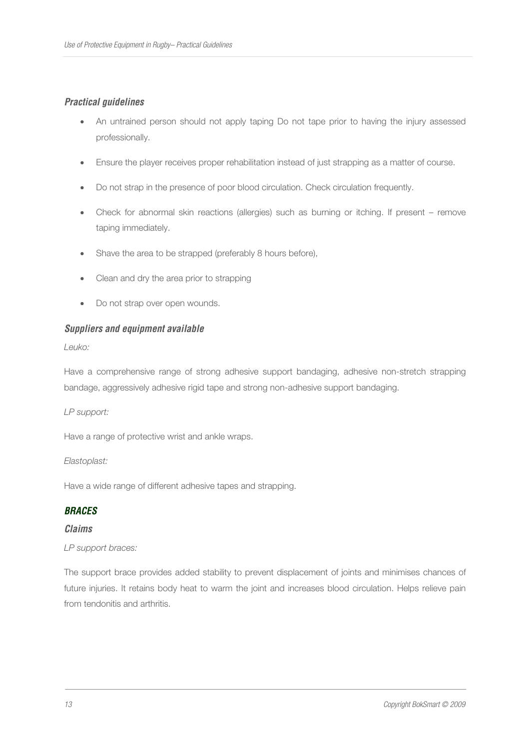# **Practical guidelines**

- An untrained person should not apply taping Do not tape prior to having the injury assessed professionally.
- Ensure the player receives proper rehabilitation instead of just strapping as a matter of course.
- Do not strap in the presence of poor blood circulation. Check circulation frequently.
- Check for abnormal skin reactions (allergies) such as burning or itching. If present remove taping immediately.
- Shave the area to be strapped (preferably 8 hours before),
- Clean and dry the area prior to strapping
- Do not strap over open wounds.

# **Suppliers and equipment available**

*Leuko:* 

Have a comprehensive range of strong adhesive support bandaging, adhesive non-stretch strapping bandage, aggressively adhesive rigid tape and strong non-adhesive support bandaging.

*LP support:* 

Have a range of protective wrist and ankle wraps.

*Elastoplast:* 

Have a wide range of different adhesive tapes and strapping.

## **BRACES**

## **Claims**

## *LP support braces:*

The support brace provides added stability to prevent displacement of joints and minimises chances of future injuries. It retains body heat to warm the joint and increases blood circulation. Helps relieve pain from tendonitis and arthritis.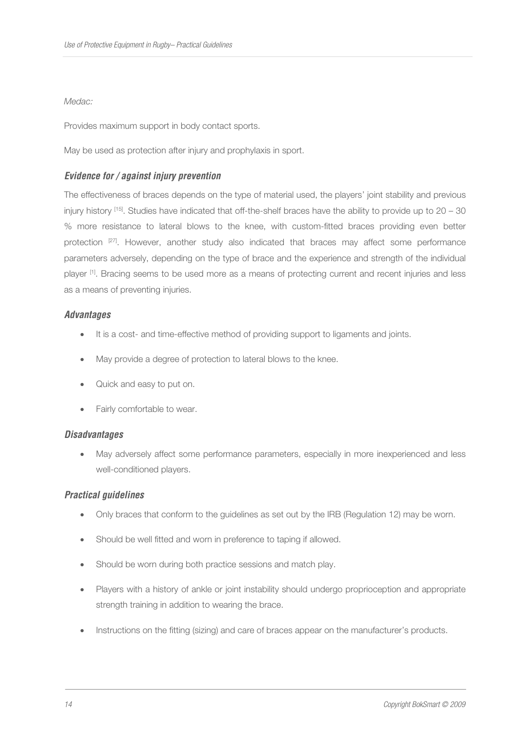## *Medac:*

Provides maximum support in body contact sports.

May be used as protection after injury and prophylaxis in sport.

# **Evidence for / against injury prevention**

The effectiveness of braces depends on the type of material used, the players' joint stability and previous injury history  $[15]$ . Studies have indicated that off-the-shelf braces have the ability to provide up to  $20 - 30$ % more resistance to lateral blows to the knee, with custom-fitted braces providing even better protection [27]. However, another study also indicated that braces may affect some performance parameters adversely, depending on the type of brace and the experience and strength of the individual player <sup>[1]</sup>. Bracing seems to be used more as a means of protecting current and recent injuries and less as a means of preventing injuries.

#### **Advantages**

- It is a cost- and time-effective method of providing support to ligaments and joints.
- May provide a degree of protection to lateral blows to the knee.
- Quick and easy to put on.
- Fairly comfortable to wear.

#### **Disadvantages**

May adversely affect some performance parameters, especially in more inexperienced and less well-conditioned players.

## **Practical guidelines**

- Only braces that conform to the guidelines as set out by the IRB (Regulation 12) may be worn.
- Should be well fitted and worn in preference to taping if allowed.
- Should be worn during both practice sessions and match play.
- Players with a history of ankle or joint instability should undergo proprioception and appropriate strength training in addition to wearing the brace.
- Instructions on the fitting (sizing) and care of braces appear on the manufacturer's products.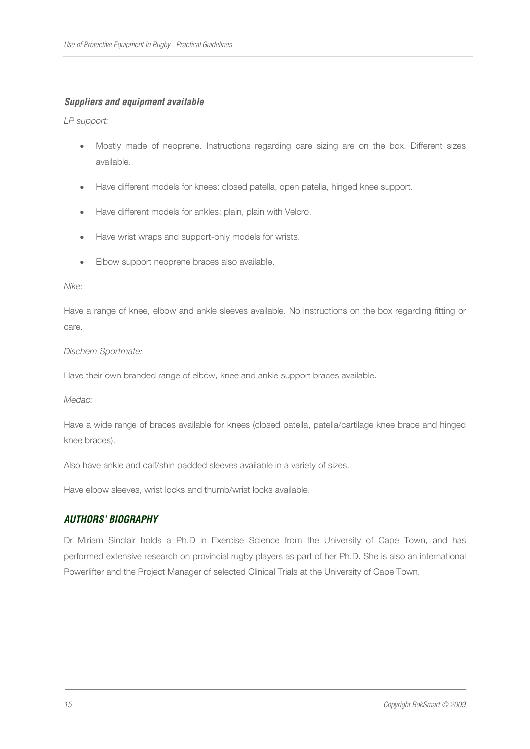## **Suppliers and equipment available**

*LP support:* 

- Mostly made of neoprene. Instructions regarding care sizing are on the box. Different sizes available.
- Have different models for knees: closed patella, open patella, hinged knee support.
- Have different models for ankles: plain, plain with Velcro.
- Have wrist wraps and support-only models for wrists.
- Elbow support neoprene braces also available.

#### *Nike:*

Have a range of knee, elbow and ankle sleeves available. No instructions on the box regarding fitting or care.

#### *Dischem Sportmate:*

Have their own branded range of elbow, knee and ankle support braces available.

#### *Medac:*

Have a wide range of braces available for knees (closed patella, patella/cartilage knee brace and hinged knee braces).

Also have ankle and calf/shin padded sleeves available in a variety of sizes.

Have elbow sleeves, wrist locks and thumb/wrist locks available.

## **AUTHORS' BIOGRAPHY**

Dr Miriam Sinclair holds a Ph.D in Exercise Science from the University of Cape Town, and has performed extensive research on provincial rugby players as part of her Ph.D. She is also an international Powerlifter and the Project Manager of selected Clinical Trials at the University of Cape Town.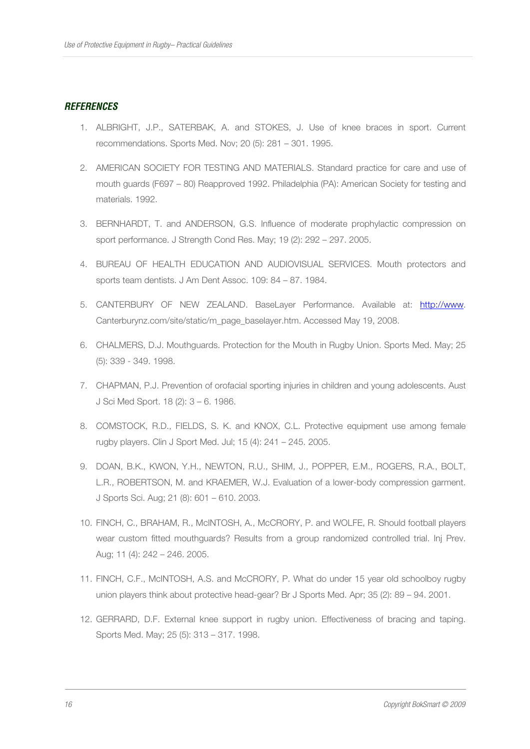## **REFERENCES**

- 1. ALBRIGHT, J.P., SATERBAK, A. and STOKES, J. Use of knee braces in sport. Current recommendations. Sports Med. Nov; 20 (5): 281 – 301. 1995.
- 2. AMERICAN SOCIETY FOR TESTING AND MATERIALS. Standard practice for care and use of mouth guards (F697 – 80) Reapproved 1992. Philadelphia (PA): American Society for testing and materials. 1992.
- 3. BERNHARDT, T. and ANDERSON, G.S. Influence of moderate prophylactic compression on sport performance. J Strength Cond Res. May; 19 (2): 292 – 297. 2005.
- 4. BUREAU OF HEALTH EDUCATION AND AUDIOVISUAL SERVICES. Mouth protectors and sports team dentists. J Am Dent Assoc. 109: 84 – 87. 1984.
- 5. CANTERBURY OF NEW ZEALAND. BaseLayer Performance. Available at: http://www. Canterburynz.com/site/static/m\_page\_baselayer.htm. Accessed May 19, 2008.
- 6. CHALMERS, D.J. Mouthguards. Protection for the Mouth in Rugby Union. Sports Med. May; 25 (5): 339 - 349. 1998.
- 7. CHAPMAN, P.J. Prevention of orofacial sporting injuries in children and young adolescents. Aust J Sci Med Sport. 18 (2): 3 – 6. 1986.
- 8. COMSTOCK, R.D., FIELDS, S. K. and KNOX, C.L. Protective equipment use among female rugby players. Clin J Sport Med. Jul; 15 (4): 241 – 245. 2005.
- 9. DOAN, B.K., KWON, Y.H., NEWTON, R.U., SHIM, J., POPPER, E.M., ROGERS, R.A., BOLT, L.R., ROBERTSON, M. and KRAEMER, W.J. Evaluation of a lower-body compression garment. J Sports Sci. Aug; 21 (8): 601 – 610. 2003.
- 10. FINCH, C., BRAHAM, R., McINTOSH, A., McCRORY, P. and WOLFE, R. Should football players wear custom fitted mouthguards? Results from a group randomized controlled trial. Inj Prev. Aug; 11 (4): 242 – 246. 2005.
- 11. FINCH, C.F., McINTOSH, A.S. and McCRORY, P. What do under 15 year old schoolboy rugby union players think about protective head-gear? Br J Sports Med. Apr; 35 (2): 89 – 94. 2001.
- 12. GERRARD, D.F. External knee support in rugby union. Effectiveness of bracing and taping. Sports Med. May; 25 (5): 313 – 317. 1998.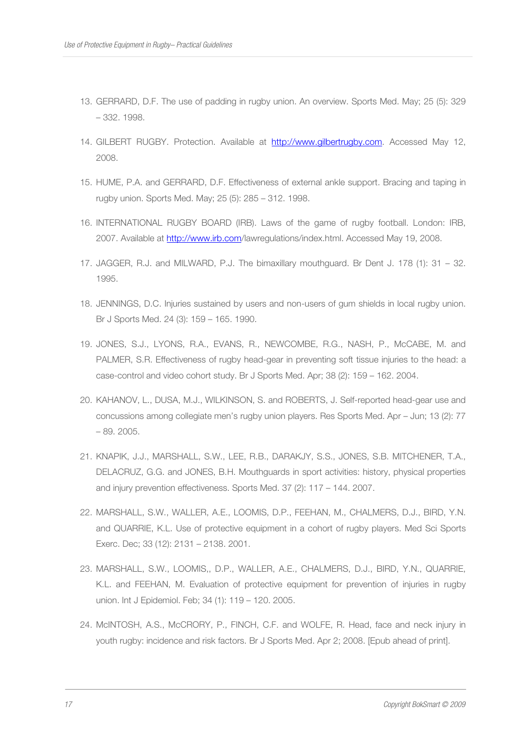- 13. GERRARD, D.F. The use of padding in rugby union. An overview. Sports Med. May; 25 (5): 329 – 332. 1998.
- 14. GILBERT RUGBY. Protection. Available at http://www.gilbertrugby.com. Accessed May 12, 2008.
- 15. HUME, P.A. and GERRARD, D.F. Effectiveness of external ankle support. Bracing and taping in rugby union. Sports Med. May; 25 (5): 285 – 312. 1998.
- 16. INTERNATIONAL RUGBY BOARD (IRB). Laws of the game of rugby football. London: IRB, 2007. Available at http://www.irb.com/lawregulations/index.html. Accessed May 19, 2008.
- 17. JAGGER, R.J. and MILWARD, P.J. The bimaxillary mouthguard. Br Dent J. 178 (1): 31 32. 1995.
- 18. JENNINGS, D.C. Injuries sustained by users and non-users of gum shields in local rugby union. Br J Sports Med. 24 (3): 159 – 165. 1990.
- 19. JONES, S.J., LYONS, R.A., EVANS, R., NEWCOMBE, R.G., NASH, P., McCABE, M. and PALMER, S.R. Effectiveness of rugby head-gear in preventing soft tissue injuries to the head: a case-control and video cohort study. Br J Sports Med. Apr; 38 (2): 159 – 162. 2004.
- 20. KAHANOV, L., DUSA, M.J., WILKINSON, S. and ROBERTS, J. Self-reported head-gear use and concussions among collegiate men's rugby union players. Res Sports Med. Apr – Jun; 13 (2): 77 – 89. 2005.
- 21. KNAPIK, J.J., MARSHALL, S.W., LEE, R.B., DARAKJY, S.S., JONES, S.B. MITCHENER, T.A., DELACRUZ, G.G. and JONES, B.H. Mouthguards in sport activities: history, physical properties and injury prevention effectiveness. Sports Med. 37 (2): 117 – 144. 2007.
- 22. MARSHALL, S.W., WALLER, A.E., LOOMIS, D.P., FEEHAN, M., CHALMERS, D.J., BIRD, Y.N. and QUARRIE, K.L. Use of protective equipment in a cohort of rugby players. Med Sci Sports Exerc. Dec; 33 (12): 2131 – 2138. 2001.
- 23. MARSHALL, S.W., LOOMIS,, D.P., WALLER, A.E., CHALMERS, D.J., BIRD, Y.N., QUARRIE, K.L. and FEEHAN, M. Evaluation of protective equipment for prevention of injuries in rugby union. Int J Epidemiol. Feb; 34 (1): 119 – 120. 2005.
- 24. McINTOSH, A.S., McCRORY, P., FINCH, C.F. and WOLFE, R. Head, face and neck injury in youth rugby: incidence and risk factors. Br J Sports Med. Apr 2; 2008. [Epub ahead of print].